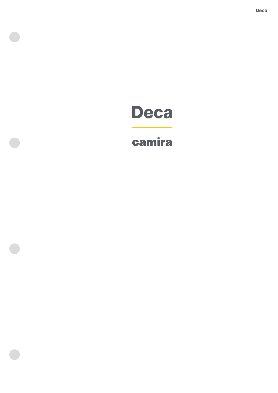# Deca

# camira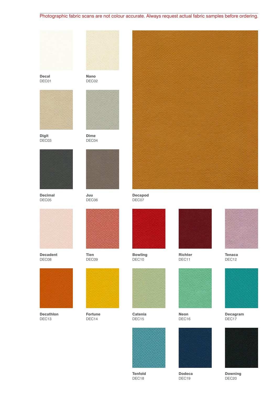# Photographic fabric scans are not colour accurate. Always request actual fabric samples before ordering.



Decal DEC01



**Digit** DEC03



Decimal DEC05



Decadent DEC08



Decathlon DEC13



Nano DEC<sub>02</sub>



Dime DEC04



Juu DEC06



Tien DEC09



Fortune DEC14



Bowling DEC10



Catenia DEC15



Tenfold DEC<sub>18</sub>



Decapod DEC07



Richter DEC11



Neon DEC<sub>16</sub>



Dodeca DEC<sub>19</sub>



Tenaca DEC12



Decagram DEC<sub>17</sub>



Downing DEC<sub>20</sub>